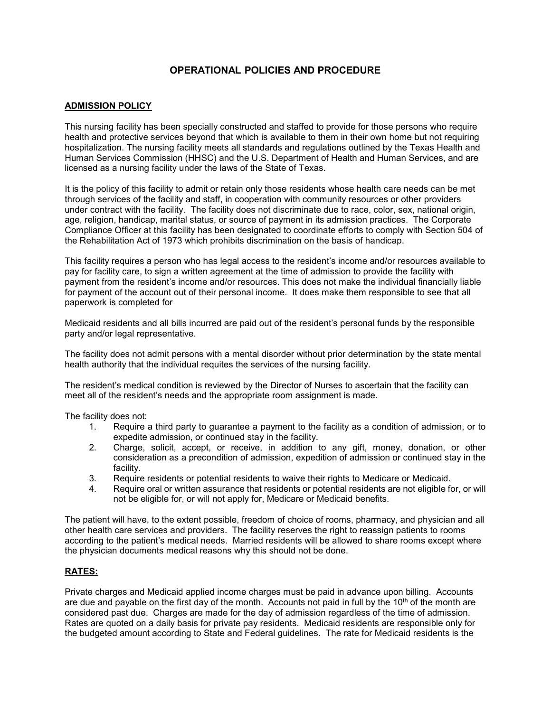# **OPERATIONAL POLICIES AND PROCEDURE**

## **ADMISSION POLICY**

This nursing facility has been specially constructed and staffed to provide for those persons who require health and protective services beyond that which is available to them in their own home but not requiring hospitalization. The nursing facility meets all standards and regulations outlined by the Texas Health and Human Services Commission (HHSC) and the U.S. Department of Health and Human Services, and are licensed as a nursing facility under the laws of the State of Texas.

It is the policy of this facility to admit or retain only those residents whose health care needs can be met through services of the facility and staff, in cooperation with community resources or other providers under contract with the facility. The facility does not discriminate due to race, color, sex, national origin, age, religion, handicap, marital status, or source of payment in its admission practices. The Corporate Compliance Officer at this facility has been designated to coordinate efforts to comply with Section 504 of the Rehabilitation Act of 1973 which prohibits discrimination on the basis of handicap.

This facility requires a person who has legal access to the resident's income and/or resources available to pay for facility care, to sign a written agreement at the time of admission to provide the facility with payment from the resident's income and/or resources. This does not make the individual financially liable for payment of the account out of their personal income. It does make them responsible to see that all paperwork is completed for

Medicaid residents and all bills incurred are paid out of the resident's personal funds by the responsible party and/or legal representative.

The facility does not admit persons with a mental disorder without prior determination by the state mental health authority that the individual requites the services of the nursing facility.

The resident's medical condition is reviewed by the Director of Nurses to ascertain that the facility can meet all of the resident's needs and the appropriate room assignment is made.

The facility does not:

- 1. Require a third party to guarantee a payment to the facility as a condition of admission, or to expedite admission, or continued stay in the facility.
- 2. Charge, solicit, accept, or receive, in addition to any gift, money, donation, or other consideration as a precondition of admission, expedition of admission or continued stay in the facility.
- 3. Require residents or potential residents to waive their rights to Medicare or Medicaid.
- 4. Require oral or written assurance that residents or potential residents are not eligible for, or will not be eligible for, or will not apply for, Medicare or Medicaid benefits.

The patient will have, to the extent possible, freedom of choice of rooms, pharmacy, and physician and all other health care services and providers. The facility reserves the right to reassign patients to rooms according to the patient's medical needs. Married residents will be allowed to share rooms except where the physician documents medical reasons why this should not be done.

#### **RATES:**

Private charges and Medicaid applied income charges must be paid in advance upon billing. Accounts are due and payable on the first day of the month. Accounts not paid in full by the 10<sup>th</sup> of the month are considered past due. Charges are made for the day of admission regardless of the time of admission. Rates are quoted on a daily basis for private pay residents. Medicaid residents are responsible only for the budgeted amount according to State and Federal guidelines. The rate for Medicaid residents is the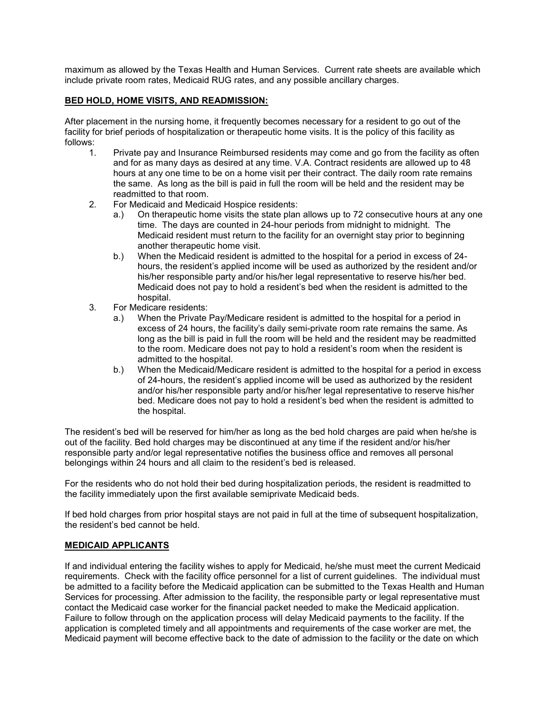maximum as allowed by the Texas Health and Human Services. Current rate sheets are available which include private room rates, Medicaid RUG rates, and any possible ancillary charges.

## **BED HOLD, HOME VISITS, AND READMISSION:**

After placement in the nursing home, it frequently becomes necessary for a resident to go out of the facility for brief periods of hospitalization or therapeutic home visits. It is the policy of this facility as follows:

- 1. Private pay and Insurance Reimbursed residents may come and go from the facility as often and for as many days as desired at any time. V.A. Contract residents are allowed up to 48 hours at any one time to be on a home visit per their contract. The daily room rate remains the same. As long as the bill is paid in full the room will be held and the resident may be readmitted to that room.
- 2. For Medicaid and Medicaid Hospice residents:
	- a.) On therapeutic home visits the state plan allows up to 72 consecutive hours at any one time. The days are counted in 24-hour periods from midnight to midnight. The Medicaid resident must return to the facility for an overnight stay prior to beginning another therapeutic home visit.
	- b.) When the Medicaid resident is admitted to the hospital for a period in excess of 24 hours, the resident's applied income will be used as authorized by the resident and/or his/her responsible party and/or his/her legal representative to reserve his/her bed. Medicaid does not pay to hold a resident's bed when the resident is admitted to the hospital.
- 3. For Medicare residents:
	- a.) When the Private Pay/Medicare resident is admitted to the hospital for a period in excess of 24 hours, the facility's daily semi-private room rate remains the same. As long as the bill is paid in full the room will be held and the resident may be readmitted to the room. Medicare does not pay to hold a resident's room when the resident is admitted to the hospital.
	- b.) When the Medicaid/Medicare resident is admitted to the hospital for a period in excess of 24-hours, the resident's applied income will be used as authorized by the resident and/or his/her responsible party and/or his/her legal representative to reserve his/her bed. Medicare does not pay to hold a resident's bed when the resident is admitted to the hospital.

The resident's bed will be reserved for him/her as long as the bed hold charges are paid when he/she is out of the facility. Bed hold charges may be discontinued at any time if the resident and/or his/her responsible party and/or legal representative notifies the business office and removes all personal belongings within 24 hours and all claim to the resident's bed is released.

For the residents who do not hold their bed during hospitalization periods, the resident is readmitted to the facility immediately upon the first available semiprivate Medicaid beds.

If bed hold charges from prior hospital stays are not paid in full at the time of subsequent hospitalization, the resident's bed cannot be held.

#### **MEDICAID APPLICANTS**

If and individual entering the facility wishes to apply for Medicaid, he/she must meet the current Medicaid requirements. Check with the facility office personnel for a list of current guidelines. The individual must be admitted to a facility before the Medicaid application can be submitted to the Texas Health and Human Services for processing. After admission to the facility, the responsible party or legal representative must contact the Medicaid case worker for the financial packet needed to make the Medicaid application. Failure to follow through on the application process will delay Medicaid payments to the facility. If the application is completed timely and all appointments and requirements of the case worker are met, the Medicaid payment will become effective back to the date of admission to the facility or the date on which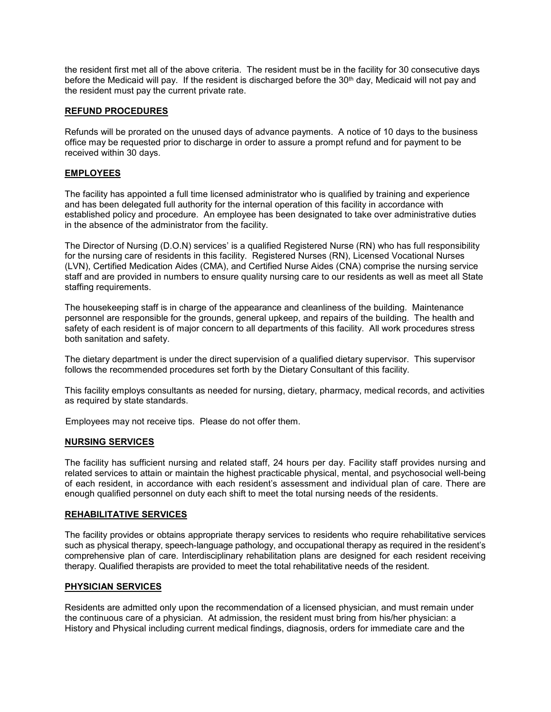the resident first met all of the above criteria. The resident must be in the facility for 30 consecutive days before the Medicaid will pay. If the resident is discharged before the 30th day, Medicaid will not pay and the resident must pay the current private rate.

## **REFUND PROCEDURES**

Refunds will be prorated on the unused days of advance payments. A notice of 10 days to the business office may be requested prior to discharge in order to assure a prompt refund and for payment to be received within 30 days.

## **EMPLOYEES**

The facility has appointed a full time licensed administrator who is qualified by training and experience and has been delegated full authority for the internal operation of this facility in accordance with established policy and procedure. An employee has been designated to take over administrative duties in the absence of the administrator from the facility.

The Director of Nursing (D.O.N) services' is a qualified Registered Nurse (RN) who has full responsibility for the nursing care of residents in this facility. Registered Nurses (RN), Licensed Vocational Nurses (LVN), Certified Medication Aides (CMA), and Certified Nurse Aides (CNA) comprise the nursing service staff and are provided in numbers to ensure quality nursing care to our residents as well as meet all State staffing requirements.

The housekeeping staff is in charge of the appearance and cleanliness of the building. Maintenance personnel are responsible for the grounds, general upkeep, and repairs of the building. The health and safety of each resident is of major concern to all departments of this facility. All work procedures stress both sanitation and safety.

The dietary department is under the direct supervision of a qualified dietary supervisor. This supervisor follows the recommended procedures set forth by the Dietary Consultant of this facility.

This facility employs consultants as needed for nursing, dietary, pharmacy, medical records, and activities as required by state standards.

Employees may not receive tips. Please do not offer them.

#### **NURSING SERVICES**

The facility has sufficient nursing and related staff, 24 hours per day. Facility staff provides nursing and related services to attain or maintain the highest practicable physical, mental, and psychosocial well-being of each resident, in accordance with each resident's assessment and individual plan of care. There are enough qualified personnel on duty each shift to meet the total nursing needs of the residents.

#### **REHABILITATIVE SERVICES**

The facility provides or obtains appropriate therapy services to residents who require rehabilitative services such as physical therapy, speech-language pathology, and occupational therapy as required in the resident's comprehensive plan of care. Interdisciplinary rehabilitation plans are designed for each resident receiving therapy. Qualified therapists are provided to meet the total rehabilitative needs of the resident.

## **PHYSICIAN SERVICES**

Residents are admitted only upon the recommendation of a licensed physician, and must remain under the continuous care of a physician. At admission, the resident must bring from his/her physician: a History and Physical including current medical findings, diagnosis, orders for immediate care and the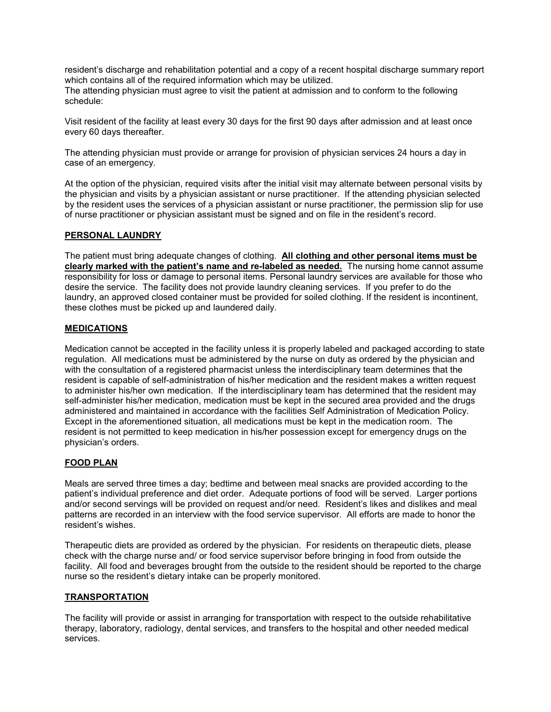resident's discharge and rehabilitation potential and a copy of a recent hospital discharge summary report which contains all of the required information which may be utilized.

The attending physician must agree to visit the patient at admission and to conform to the following schedule:

Visit resident of the facility at least every 30 days for the first 90 days after admission and at least once every 60 days thereafter.

The attending physician must provide or arrange for provision of physician services 24 hours a day in case of an emergency.

At the option of the physician, required visits after the initial visit may alternate between personal visits by the physician and visits by a physician assistant or nurse practitioner. If the attending physician selected by the resident uses the services of a physician assistant or nurse practitioner, the permission slip for use of nurse practitioner or physician assistant must be signed and on file in the resident's record.

## **PERSONAL LAUNDRY**

The patient must bring adequate changes of clothing. **All clothing and other personal items must be clearly marked with the patient's name and re-labeled as needed.** The nursing home cannot assume responsibility for loss or damage to personal items. Personal laundry services are available for those who desire the service. The facility does not provide laundry cleaning services. If you prefer to do the laundry, an approved closed container must be provided for soiled clothing. If the resident is incontinent, these clothes must be picked up and laundered daily.

## **MEDICATIONS**

Medication cannot be accepted in the facility unless it is properly labeled and packaged according to state regulation. All medications must be administered by the nurse on duty as ordered by the physician and with the consultation of a registered pharmacist unless the interdisciplinary team determines that the resident is capable of self-administration of his/her medication and the resident makes a written request to administer his/her own medication. If the interdisciplinary team has determined that the resident may self-administer his/her medication, medication must be kept in the secured area provided and the drugs administered and maintained in accordance with the facilities Self Administration of Medication Policy. Except in the aforementioned situation, all medications must be kept in the medication room. The resident is not permitted to keep medication in his/her possession except for emergency drugs on the physician's orders.

#### **FOOD PLAN**

Meals are served three times a day; bedtime and between meal snacks are provided according to the patient's individual preference and diet order. Adequate portions of food will be served. Larger portions and/or second servings will be provided on request and/or need. Resident's likes and dislikes and meal patterns are recorded in an interview with the food service supervisor. All efforts are made to honor the resident's wishes.

Therapeutic diets are provided as ordered by the physician. For residents on therapeutic diets, please check with the charge nurse and/ or food service supervisor before bringing in food from outside the facility. All food and beverages brought from the outside to the resident should be reported to the charge nurse so the resident's dietary intake can be properly monitored.

#### **TRANSPORTATION**

The facility will provide or assist in arranging for transportation with respect to the outside rehabilitative therapy, laboratory, radiology, dental services, and transfers to the hospital and other needed medical services.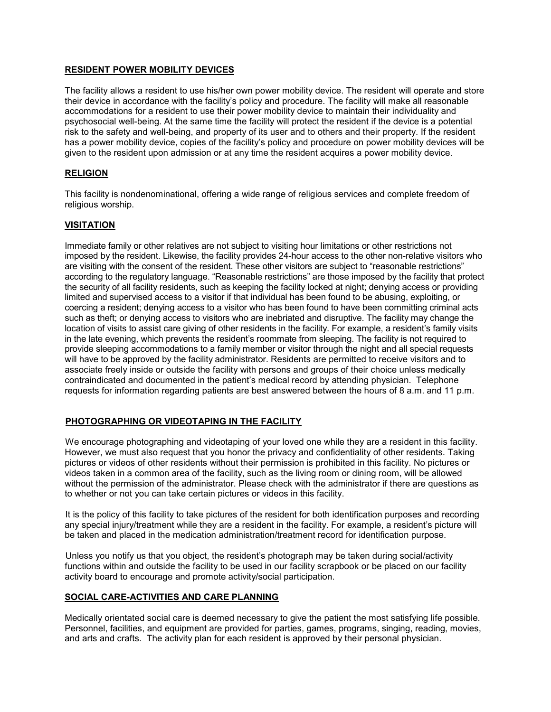## **RESIDENT POWER MOBILITY DEVICES**

The facility allows a resident to use his/her own power mobility device. The resident will operate and store their device in accordance with the facility's policy and procedure. The facility will make all reasonable accommodations for a resident to use their power mobility device to maintain their individuality and psychosocial well-being. At the same time the facility will protect the resident if the device is a potential risk to the safety and well-being, and property of its user and to others and their property. If the resident has a power mobility device, copies of the facility's policy and procedure on power mobility devices will be given to the resident upon admission or at any time the resident acquires a power mobility device.

## **RELIGION**

This facility is nondenominational, offering a wide range of religious services and complete freedom of religious worship.

### **VISITATION**

Immediate family or other relatives are not subject to visiting hour limitations or other restrictions not imposed by the resident. Likewise, the facility provides 24-hour access to the other non-relative visitors who are visiting with the consent of the resident. These other visitors are subject to "reasonable restrictions" according to the regulatory language. "Reasonable restrictions" are those imposed by the facility that protect the security of all facility residents, such as keeping the facility locked at night; denying access or providing limited and supervised access to a visitor if that individual has been found to be abusing, exploiting, or coercing a resident; denying access to a visitor who has been found to have been committing criminal acts such as theft; or denying access to visitors who are inebriated and disruptive. The facility may change the location of visits to assist care giving of other residents in the facility. For example, a resident's family visits in the late evening, which prevents the resident's roommate from sleeping. The facility is not required to provide sleeping accommodations to a family member or visitor through the night and all special requests will have to be approved by the facility administrator. Residents are permitted to receive visitors and to associate freely inside or outside the facility with persons and groups of their choice unless medically contraindicated and documented in the patient's medical record by attending physician. Telephone requests for information regarding patients are best answered between the hours of 8 a.m. and 11 p.m.

## **PHOTOGRAPHING OR VIDEOTAPING IN THE FACILITY**

 We encourage photographing and videotaping of your loved one while they are a resident in this facility. However, we must also request that you honor the privacy and confidentiality of other residents. Taking pictures or videos of other residents without their permission is prohibited in this facility. No pictures or videos taken in a common area of the facility, such as the living room or dining room, will be allowed without the permission of the administrator. Please check with the administrator if there are questions as to whether or not you can take certain pictures or videos in this facility.

 It is the policy of this facility to take pictures of the resident for both identification purposes and recording any special injury/treatment while they are a resident in the facility. For example, a resident's picture will be taken and placed in the medication administration/treatment record for identification purpose.

 Unless you notify us that you object, the resident's photograph may be taken during social/activity functions within and outside the facility to be used in our facility scrapbook or be placed on our facility activity board to encourage and promote activity/social participation.

#### **SOCIAL CARE-ACTIVITIES AND CARE PLANNING**

Medically orientated social care is deemed necessary to give the patient the most satisfying life possible. Personnel, facilities, and equipment are provided for parties, games, programs, singing, reading, movies, and arts and crafts. The activity plan for each resident is approved by their personal physician.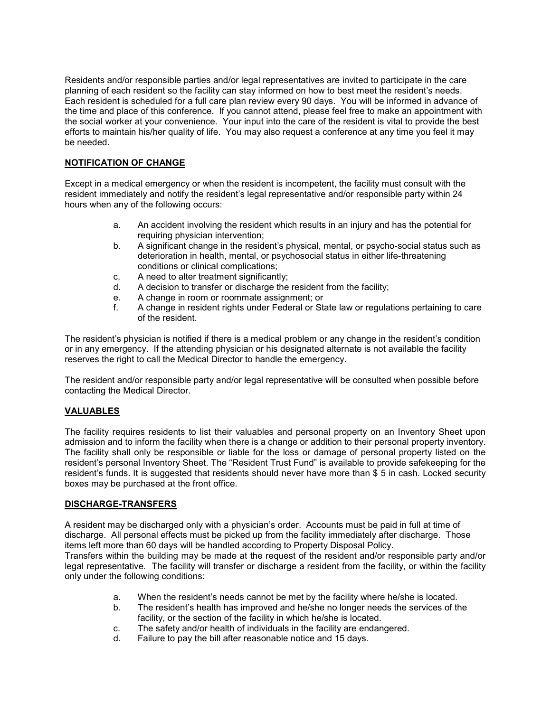Residents and/or responsible parties and/or legal representatives are invited to participate in the care planning of each resident so the facility can stay informed on how to best meet the resident's needs. Each resident is scheduled for a full care plan review every 90 days. You will be informed in advance of the time and place of this conference. If you cannot attend, please feel free to make an appointment with the social worker at your convenience. Your input into the care of the resident is vital to provide the best efforts to maintain his/her quality of life. You may also request a conference at any time you feel it may be needed.

## **NOTIFICATION OF CHANGE**

Except in a medical emergency or when the resident is incompetent, the facility must consult with the resident immediately and notify the resident's legal representative and/or responsible party within 24 hours when any of the following occurs:

- a. An accident involving the resident which results in an injury and has the potential for requiring physician intervention;
- b. A significant change in the resident's physical, mental, or psycho-social status such as deterioration in health, mental, or psychosocial status in either life-threatening conditions or clinical complications;
- c. A need to alter treatment significantly;
- d. A decision to transfer or discharge the resident from the facility;
- e. A change in room or roommate assignment; or
- f. A change in resident rights under Federal or State law or regulations pertaining to care of the resident.

The resident's physician is notified if there is a medical problem or any change in the resident's condition or in any emergency. If the attending physician or his designated alternate is not available the facility reserves the right to call the Medical Director to handle the emergency.

The resident and/or responsible party and/or legal representative will be consulted when possible before contacting the Medical Director.

#### **VALUABLES**

The facility requires residents to list their valuables and personal property on an Inventory Sheet upon admission and to inform the facility when there is a change or addition to their personal property inventory. The facility shall only be responsible or liable for the loss or damage of personal property listed on the resident's personal Inventory Sheet. The "Resident Trust Fund" is available to provide safekeeping for the resident's funds. It is suggested that residents should never have more than \$ 5 in cash. Locked security boxes may be purchased at the front office.

#### **DISCHARGE-TRANSFERS**

A resident may be discharged only with a physician's order. Accounts must be paid in full at time of discharge. All personal effects must be picked up from the facility immediately after discharge. Those items left more than 60 days will be handled according to Property Disposal Policy.

Transfers within the building may be made at the request of the resident and/or responsible party and/or legal representative. The facility will transfer or discharge a resident from the facility, or within the facility only under the following conditions:

- a. When the resident's needs cannot be met by the facility where he/she is located.
- b. The resident's health has improved and he/she no longer needs the services of the facility, or the section of the facility in which he/she is located.
- c. The safety and/or health of individuals in the facility are endangered.
- d. Failure to pay the bill after reasonable notice and 15 days.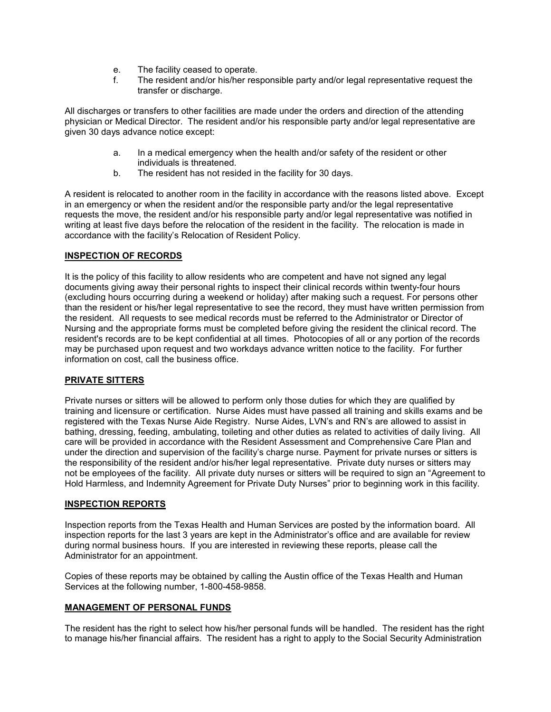- e. The facility ceased to operate.
- f. The resident and/or his/her responsible party and/or legal representative request the transfer or discharge.

All discharges or transfers to other facilities are made under the orders and direction of the attending physician or Medical Director. The resident and/or his responsible party and/or legal representative are given 30 days advance notice except:

- a. In a medical emergency when the health and/or safety of the resident or other individuals is threatened.
- b. The resident has not resided in the facility for 30 days.

A resident is relocated to another room in the facility in accordance with the reasons listed above. Except in an emergency or when the resident and/or the responsible party and/or the legal representative requests the move, the resident and/or his responsible party and/or legal representative was notified in writing at least five days before the relocation of the resident in the facility. The relocation is made in accordance with the facility's Relocation of Resident Policy.

## **INSPECTION OF RECORDS**

It is the policy of this facility to allow residents who are competent and have not signed any legal documents giving away their personal rights to inspect their clinical records within twenty-four hours (excluding hours occurring during a weekend or holiday) after making such a request. For persons other than the resident or his/her legal representative to see the record, they must have written permission from the resident. All requests to see medical records must be referred to the Administrator or Director of Nursing and the appropriate forms must be completed before giving the resident the clinical record. The resident's records are to be kept confidential at all times. Photocopies of all or any portion of the records may be purchased upon request and two workdays advance written notice to the facility. For further information on cost, call the business office.

## **PRIVATE SITTERS**

Private nurses or sitters will be allowed to perform only those duties for which they are qualified by training and licensure or certification. Nurse Aides must have passed all training and skills exams and be registered with the Texas Nurse Aide Registry. Nurse Aides, LVN's and RN's are allowed to assist in bathing, dressing, feeding, ambulating, toileting and other duties as related to activities of daily living. All care will be provided in accordance with the Resident Assessment and Comprehensive Care Plan and under the direction and supervision of the facility's charge nurse. Payment for private nurses or sitters is the responsibility of the resident and/or his/her legal representative. Private duty nurses or sitters may not be employees of the facility. All private duty nurses or sitters will be required to sign an "Agreement to Hold Harmless, and Indemnity Agreement for Private Duty Nurses" prior to beginning work in this facility.

### **INSPECTION REPORTS**

Inspection reports from the Texas Health and Human Services are posted by the information board. All inspection reports for the last 3 years are kept in the Administrator's office and are available for review during normal business hours. If you are interested in reviewing these reports, please call the Administrator for an appointment.

Copies of these reports may be obtained by calling the Austin office of the Texas Health and Human Services at the following number, 1-800-458-9858.

#### **MANAGEMENT OF PERSONAL FUNDS**

The resident has the right to select how his/her personal funds will be handled. The resident has the right to manage his/her financial affairs. The resident has a right to apply to the Social Security Administration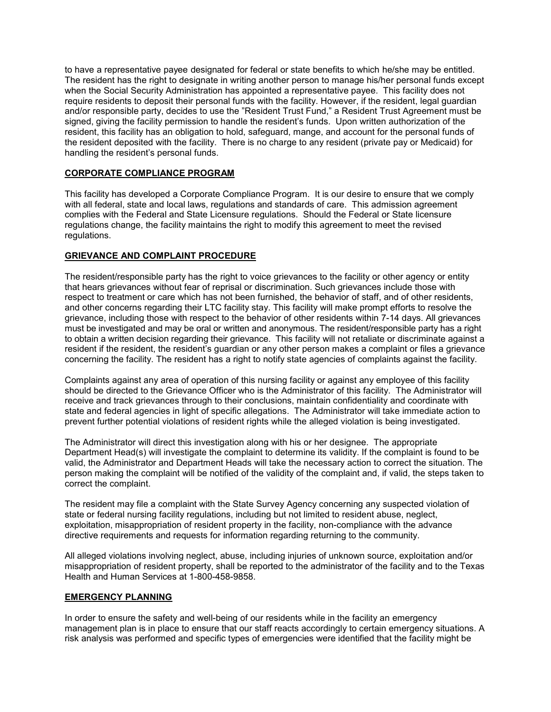to have a representative payee designated for federal or state benefits to which he/she may be entitled. The resident has the right to designate in writing another person to manage his/her personal funds except when the Social Security Administration has appointed a representative payee. This facility does not require residents to deposit their personal funds with the facility. However, if the resident, legal guardian and/or responsible party, decides to use the "Resident Trust Fund," a Resident Trust Agreement must be signed, giving the facility permission to handle the resident's funds. Upon written authorization of the resident, this facility has an obligation to hold, safeguard, mange, and account for the personal funds of the resident deposited with the facility. There is no charge to any resident (private pay or Medicaid) for handling the resident's personal funds.

## **CORPORATE COMPLIANCE PROGRAM**

This facility has developed a Corporate Compliance Program. It is our desire to ensure that we comply with all federal, state and local laws, regulations and standards of care. This admission agreement complies with the Federal and State Licensure regulations. Should the Federal or State licensure regulations change, the facility maintains the right to modify this agreement to meet the revised regulations.

## **GRIEVANCE AND COMPLAINT PROCEDURE**

The resident/responsible party has the right to voice grievances to the facility or other agency or entity that hears grievances without fear of reprisal or discrimination. Such grievances include those with respect to treatment or care which has not been furnished, the behavior of staff, and of other residents, and other concerns regarding their LTC facility stay. This facility will make prompt efforts to resolve the grievance, including those with respect to the behavior of other residents within 7-14 days. All grievances must be investigated and may be oral or written and anonymous. The resident/responsible party has a right to obtain a written decision regarding their grievance. This facility will not retaliate or discriminate against a resident if the resident, the resident's guardian or any other person makes a complaint or files a grievance concerning the facility. The resident has a right to notify state agencies of complaints against the facility.

Complaints against any area of operation of this nursing facility or against any employee of this facility should be directed to the Grievance Officer who is the Administrator of this facility. The Administrator will receive and track grievances through to their conclusions, maintain confidentiality and coordinate with state and federal agencies in light of specific allegations. The Administrator will take immediate action to prevent further potential violations of resident rights while the alleged violation is being investigated.

The Administrator will direct this investigation along with his or her designee. The appropriate Department Head(s) will investigate the complaint to determine its validity. If the complaint is found to be valid, the Administrator and Department Heads will take the necessary action to correct the situation. The person making the complaint will be notified of the validity of the complaint and, if valid, the steps taken to correct the complaint.

The resident may file a complaint with the State Survey Agency concerning any suspected violation of state or federal nursing facility regulations, including but not limited to resident abuse, neglect, exploitation, misappropriation of resident property in the facility, non-compliance with the advance directive requirements and requests for information regarding returning to the community.

All alleged violations involving neglect, abuse, including injuries of unknown source, exploitation and/or misappropriation of resident property, shall be reported to the administrator of the facility and to the Texas Health and Human Services at 1-800-458-9858.

## **EMERGENCY PLANNING**

In order to ensure the safety and well-being of our residents while in the facility an emergency management plan is in place to ensure that our staff reacts accordingly to certain emergency situations. A risk analysis was performed and specific types of emergencies were identified that the facility might be